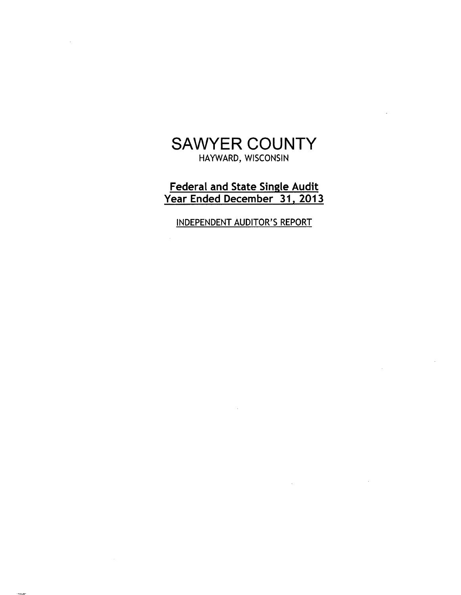# **SAWYER COUNTY** HAYWARD, WISCONSIN

**Federal and State Single Audit Year Ended December 31! 2013**

INDEPENDENT AUDITOR'S REPORT

J.

 $\sim 10^{-10}$ 

 $\sim$   $\sim$ 

 $\bar{z}$ 

**SOFT**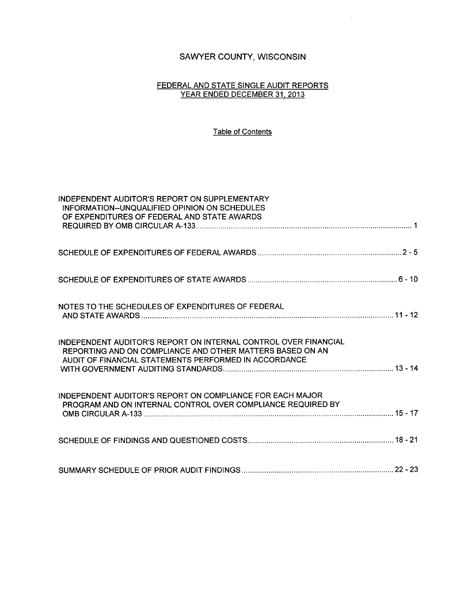$\mathcal{A}^{\mathcal{A}}$ 

#### FEDERAL AND STATE SINGLE AUDIT REPORTS YEAR ENDED DECEMBER 31, 2013

#### Table of Contents

| INDEPENDENT AUDITOR'S REPORT ON SUPPLEMENTARY<br>INFORMATION--UNQUALIFIED OPINION ON SCHEDULES<br>OF EXPENDITURES OF FEDERAL AND STATE AWARDS                                         |
|---------------------------------------------------------------------------------------------------------------------------------------------------------------------------------------|
|                                                                                                                                                                                       |
|                                                                                                                                                                                       |
| NOTES TO THE SCHEDULES OF EXPENDITURES OF FEDERAL                                                                                                                                     |
| INDEPENDENT AUDITOR'S REPORT ON INTERNAL CONTROL OVER FINANCIAL<br>REPORTING AND ON COMPLIANCE AND OTHER MATTERS BASED ON AN<br>AUDIT OF FINANCIAL STATEMENTS PERFORMED IN ACCORDANCE |
| INDEPENDENT AUDITOR'S REPORT ON COMPLIANCE FOR EACH MAJOR<br>PROGRAM AND ON INTERNAL CONTROL OVER COMPLIANCE REQUIRED BY                                                              |
|                                                                                                                                                                                       |
|                                                                                                                                                                                       |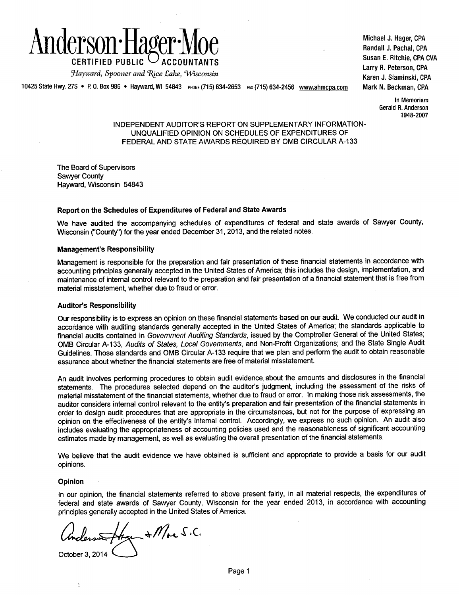# nderson•Hager•Moe

*:Hayward, Spooner and 'R.!:ceLake, Wisconsin*

Michael J. Hager, CPA Randall J. Pachal, CPA Susan E. Ritchie, CPA CVA larry R. Peterson, CPA Karen J. Siaminski, CPA Mark N. Beckman, CPA

> In Memoriam Gerald R. Anderson 1948-2007

10425 State Hwy. 27S • P. O. Box 986 • Hayward, WI 54843 PHONE (715) 634-2653 FAX (715) 634-2456 www.ahmcpa.com

#### INDEPENDENT AUDITOR'S REPORT ON SUPPLEMENTARY INFORMATION-UNQUALIFIED OPINION ON SCHEDULES OF EXPENDITURES OF FEDERAL AND STATE AWARDS REQUIRED BY OMB CIRCULAR A-133

The Board of Supervisors Sawyer County Hayward, Wisconsin 54843

#### Report on the Schedules of Expenditures of Federal and State Awards

We have audited the accompanying schedules of expenditures of federal and state awards of Sawyer County, Wisconsin ("County") for the year ended December 31, 2013, and the related notes.

#### Management's Responsibility

Management is responsible for the preparation and fair presentation of these financial statements in accordance with accounting principles generally accepted in the United States of America; this includes the design, implementation, and maintenance of internal control relevant to the preparation and fair presentation of a financial statement that is free from material misstatement, whether due to fraud or error.

#### Auditor's Responsibility

Our responsibility is to express an opinion on these financial statements based on our audit. We conducted our audit in accordance with auditing standards generally accepted in the United States of America; the standards applicable to financial audits contained in *Government Auditing Standards,* issued by the Comptroller General of the United States; OMB Circular A-133, *Audits of States, Local Governments,* and Non-Profit Organizations; and the State Single Audit Guidelines. Those standards and OMB Circular A- 133 require that we plan and perform the audit to obtain reasonable assurance about whether the financial statements are free of material misstatement.

An audit involves performing procedures to obtain audit evidence, about the amounts and disclosures in the financial statements. The procedures selected depend on the auditor's judgment, including the assessment of the risks of material misstatement of the financial statements, whether due to fraud or error. In making those risk assessments, the auditor considers internal control relevant to the entity's preparation and fair presentation of the financial statements in order to design audit procedures that are appropriate in the circumstances, but not for the purpose of expressing an opinion on the effectiveness of the entity's internal control. Accordingly, we express no such opinion. An audit also includes evaluating the appropriateness of accounting policies used and the reasonableness of significant accounting estimates made by management, as well as evaluating the overall presentation of the financial statements.

We believe that the audit evidence we have obtained is sufficient and appropriate to provide a basis for our audit opinions.

#### Opinion

In our opinion, the financial statements referred to above present fairly, in all material respects, the expenditures of federal and state awards of Sawyer County, Wisconsin for the year ended 2013, in accordance with accounting principles generally accepted in the United States of America.

Anderson Hogen + Moe S.C. *Chrolesson 1944* 

 $\ddot{\cdot}$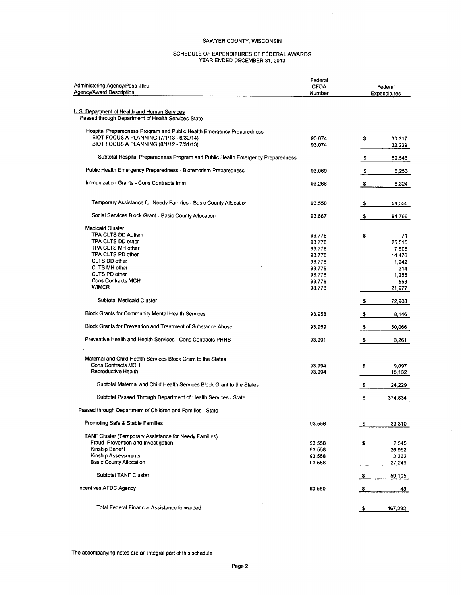$\sim$ 

#### SCHEDULE OF EXPENDITURES OF FEDERAL AWARD YEAR ENDED DECEMBER 31, 2013

|                                                                                                    | Federal          |              |                     |  |  |  |
|----------------------------------------------------------------------------------------------------|------------------|--------------|---------------------|--|--|--|
| Administering Agency/Pass Thru                                                                     | <b>CFDA</b>      | Federal      |                     |  |  |  |
| Agency/Award Description                                                                           | Number           |              | <b>Expenditures</b> |  |  |  |
|                                                                                                    |                  |              |                     |  |  |  |
| U.S. Department of Health and Human Services<br>Passed through Department of Health Services-State |                  |              |                     |  |  |  |
| Hospital Preparedness Program and Public Health Emergency Preparedness                             |                  |              |                     |  |  |  |
| BIOT FOCUS A PLANNING (7/1/13 - 6/30/14)                                                           | 93.074           | \$           | 30,317              |  |  |  |
| BIOT FOCUS A PLANNING (8/1/12 - 7/31/13)                                                           | 93.074           |              | 22,229              |  |  |  |
| Subtotal Hospital Preparedness Program and Public Health Emergency Preparedness                    |                  | \$           | 52,546              |  |  |  |
| Public Health Emergency Preparedness - Bioterrorism Preparedness                                   | 93.069           | S.           | 6,253               |  |  |  |
| Immunization Grants - Cons Contracts Imm                                                           | 93.268           | \$           | 8,324               |  |  |  |
|                                                                                                    |                  |              |                     |  |  |  |
| Temporary Assistance for Needy Families - Basic County Allocation                                  | 93.558           | $\mathbf{3}$ | 54,335              |  |  |  |
| Social Services Block Grant - Basic County Allocation                                              | 93.667           | - \$         | 94,766              |  |  |  |
|                                                                                                    |                  |              |                     |  |  |  |
| <b>Medicaid Cluster</b><br><b>TPA CLTS DD Autism</b>                                               |                  |              |                     |  |  |  |
| TPA CLTS DD other                                                                                  | 93.778<br>93.778 | \$           | 71<br>25,515        |  |  |  |
| TPA CLTS MH other                                                                                  | 93.778           |              | 7,505               |  |  |  |
| TPA CLTS PD other                                                                                  | 93.778           |              | 14,476              |  |  |  |
| CLTS DD other                                                                                      | 93.778           |              |                     |  |  |  |
| CLTS MH other                                                                                      | 93.778           |              | 1,242               |  |  |  |
| CLTS PD other                                                                                      | 93.778           |              | 314                 |  |  |  |
| <b>Cons Contracts MCH</b>                                                                          |                  |              | 1.255               |  |  |  |
| <b>WIMCR</b>                                                                                       | 93.778           |              | 553                 |  |  |  |
|                                                                                                    | 93.778           |              | 21,977              |  |  |  |
| Subtotal Medicaid Cluster                                                                          |                  | - 5          | 72,908              |  |  |  |
| Block Grants for Community Mental Health Services                                                  | 93.958           | \$           | 8,146               |  |  |  |
| Block Grants for Prevention and Treatment of Substance Abuse                                       | 93.959           | S.           | 50,066              |  |  |  |
| Preventive Health and Health Services - Cons Contracts PHHS                                        | 93.991           | \$           | 3,261               |  |  |  |
|                                                                                                    |                  |              |                     |  |  |  |
| Maternal and Child Health Services Block Grant to the States                                       |                  |              |                     |  |  |  |
| <b>Cons Contracts MCH</b>                                                                          | 93.994           | \$           | 9,097               |  |  |  |
| Reproductive Health                                                                                | 93.994           |              | 15,132              |  |  |  |
| Subtotal Maternal and Child Health Services Block Grant to the States                              |                  | \$           | 24,229              |  |  |  |
| Subtotal Passed Through Department of Health Services - State                                      |                  | - \$         | 374,834             |  |  |  |
| Passed through Department of Children and Families - State                                         |                  |              |                     |  |  |  |
| Promoting Safe & Stable Families                                                                   | 93.556           | \$           | 33,310              |  |  |  |
| TANF Cluster (Temporary Assistance for Needy Families)                                             |                  |              |                     |  |  |  |
| Fraud Prevention and Investigation                                                                 | 93.558           | \$           | 2,545               |  |  |  |
| Kinship Benefit                                                                                    | 93.558           |              | 26.952              |  |  |  |
| <b>Kinship Assessments</b>                                                                         | 93.558           |              | 2,362               |  |  |  |
| <b>Basic County Allocation</b>                                                                     | 93.558           |              | 27,246              |  |  |  |
|                                                                                                    |                  |              |                     |  |  |  |
| <b>Subtotal TANF Cluster</b>                                                                       |                  | \$           | 59,105              |  |  |  |
| Incentives AFDC Agency                                                                             | 93.560           | \$           | 43                  |  |  |  |
|                                                                                                    |                  |              |                     |  |  |  |
| <b>Total Federal Financial Assistance forwarded</b>                                                |                  | \$           | 467,292             |  |  |  |

The accompanying notes are an integral part of this schedule.

 $\hat{\mathcal{A}}$ 

 $\sim$ 

 $\sim$ 

 $\sim$ 

 $\bar{\beta}$ 

 $\frac{1}{2} \frac{1}{2} \frac{1}{2}$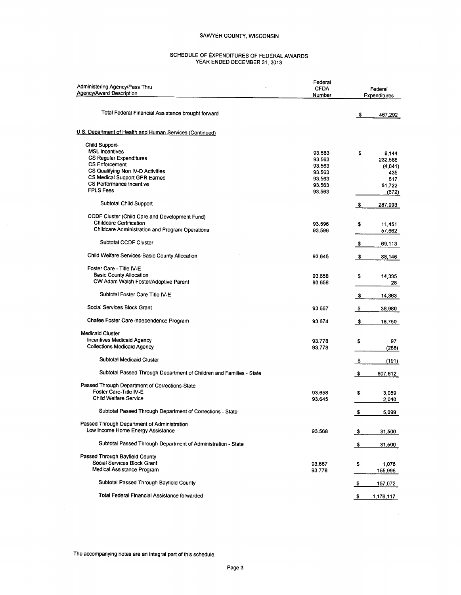#### SCHEDULE OF EXPENDITURES OF FEDERAL AWARD YEAR ENDED DECEMBER 31, 2013

| Administering Agency/Pass Thru<br><b>Agency/Award Description</b>   | Federal<br><b>CFDA</b><br>Number |                         | Federal<br>Expenditures |
|---------------------------------------------------------------------|----------------------------------|-------------------------|-------------------------|
| Total Federal Financial Assistance brought forward                  |                                  | \$                      | 467,292                 |
| U.S. Department of Health and Human Services (Continued)            |                                  |                         |                         |
| Child Support-                                                      |                                  |                         |                         |
| <b>MSL Incentives</b>                                               | 93.563                           | \$                      | 8,144                   |
| <b>CS Regular Expenditures</b>                                      | 93.563                           |                         | 232,588                 |
| <b>CS Enforcement</b>                                               | 93.563                           |                         | (4, 841)                |
| CS Qualifying Non IV-D Activities                                   | 93.563                           |                         | 435                     |
| CS Medical Support GPR Earned                                       | 93.563                           |                         | 617                     |
| CS Performance Incentive<br><b>FPLS Fees</b>                        | 93.563<br>93.563                 |                         | 51,722<br>(672)         |
| Subtotal Child Support                                              |                                  | \$                      | 287,993                 |
| CCDF Cluster (Child Care and Development Fund)                      |                                  |                         |                         |
| <b>Childcare Certification</b>                                      | 93.596                           | s                       | 11,451                  |
| Childcare Administration and Program Operations                     | 93.596                           |                         | 57,662                  |
| Subtotal CCDF Cluster                                               |                                  | \$                      | 69,113                  |
| Child Welfare Services-Basic County Allocation                      | 93.645                           | \$                      | 88 146                  |
| Foster Care - Title IV-E                                            |                                  |                         |                         |
| <b>Basic County Allocation</b>                                      | 93.658                           | \$                      | 14,335                  |
| CW Adam Walsh Foster/Adoptive Parent                                | 93.658                           |                         | 28                      |
| Subtotal Foster Care Title IV-E                                     |                                  | \$                      | 14,363                  |
| Social Services Block Grant                                         | 93.667                           | \$                      | 38,980                  |
| Chafee Foster Care Independence Program                             | 93.674                           | - \$                    | 16,750                  |
| <b>Medicaid Cluster</b>                                             |                                  |                         |                         |
| <b>Incentives Medicaid Agency</b>                                   | 93.778                           | \$                      | 97                      |
| <b>Collections Medicaid Agency</b>                                  | 93.778                           |                         | (288)                   |
| Subtotal Medicaid Cluster                                           |                                  | \$                      | (191)                   |
| Subtotal Passed Through Department of Children and Families - State |                                  | \$                      | 607,612                 |
| Passed Through Department of Corrections-State                      |                                  |                         |                         |
| Foster Care-Title IV-E                                              | 93.658                           | \$                      | 3,059                   |
| Child Welfare Service                                               | 93.645                           |                         | 2,040                   |
| Subtotal Passed Through Department of Corrections - State           |                                  | \$                      | 5.099                   |
| Passed Through Department of Administration                         |                                  |                         |                         |
| Low Income Home Energy Assistance                                   | 93.568                           | \$                      | 31,500                  |
| Subtotal Passed Through Department of Administration - State        |                                  | $\overline{\mathbf{r}}$ | 31,500                  |
| Passed Through Bayfield County                                      |                                  |                         |                         |
| Social Services Block Grant                                         | 93.667                           | \$                      |                         |
| Medical Assistance Program                                          | 93.778                           |                         | 1,076<br>155,996        |
| Subtotal Passed Through Bayfield County                             |                                  | \$                      | 157,072                 |
| Total Federal Financial Assistance forwarded                        |                                  | \$                      | 1,176,117               |

The accompanying notes are an integral part of this schedule.

 $\sim 10^{-1}$ 

 $\epsilon$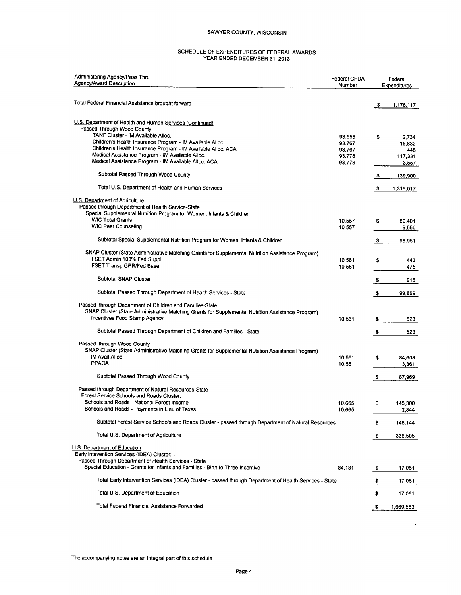$\hat{\mathcal{A}}$ 

#### SCHEDULE OF EXPENDITURES OF FEDERAL AWARDS YEAR ENDED DECEMBER 31, 2013

| Administering Agency/Pass Thru<br>Agency/Award Description                                              | Federal CFDA<br>Number |               | Federal<br>Expenditures |
|---------------------------------------------------------------------------------------------------------|------------------------|---------------|-------------------------|
| Total Federal Financial Assistance brought forward                                                      |                        | \$            | 1,176,117               |
| U.S. Department of Health and Human Services (Continued)<br>Passed Through Wood County                  |                        |               |                         |
| TANF Cluster - IM Available Alloc.                                                                      | 93.558                 | \$            |                         |
| Children's Health Insurance Program - IM Available Alloc.                                               | 93.767                 |               | 2,734<br>15,832         |
| Children's Health Insurance Program - IM Available Alloc. ACA                                           | 93.767                 |               | 446                     |
| Medical Assistance Program - IM Available Alloc.                                                        | 93.778                 |               | 117,331                 |
| Medical Assistance Program - IM Available Alloc. ACA                                                    | 93.778                 |               | 3,557                   |
| Subtotal Passed Through Wood County                                                                     |                        | \$            | 139,900                 |
| Total U.S. Department of Health and Human Services                                                      |                        | \$            | 1,316,017               |
| U.S. Department of Agriculture                                                                          |                        |               |                         |
| Passed through Department of Health Service-State                                                       |                        |               |                         |
| Special Supplemental Nutrition Program for Women, Infants & Children                                    |                        |               |                         |
| <b>WIC Total Grants</b>                                                                                 | 10.557                 | \$            | 89,401                  |
| <b>WIC Peer Counseling</b>                                                                              | 10.557                 |               | 9,550                   |
| Subtotal Special Supplemental Nutrition Program for Women, Infants & Children                           |                        |               |                         |
|                                                                                                         |                        | \$            | 98,951                  |
| SNAP Cluster (State Administrative Matching Grants for Supplemental Nutrition Assistance Program)       |                        |               |                         |
| FSET Admin 100% Fed Suppl                                                                               | 10.561                 | \$            | 443                     |
| <b>FSET Transp GPR/Fed Base</b>                                                                         | 10 561                 |               | 475                     |
| Subtotal SNAP Cluster                                                                                   |                        | \$            | 918                     |
| Subtotal Passed Through Department of Health Services - State                                           |                        | - \$          | 99,869                  |
| Passed through Department of Children and Families-State                                                |                        |               |                         |
| SNAP Cluster (State Administrative Matching Grants for Supplemental Nutrition Assistance Program)       |                        |               |                         |
| Incentives Food Stamp Agency                                                                            | 10.561                 | \$            | 523                     |
|                                                                                                         |                        |               |                         |
| Subtotal Passed Through Department of Children and Families - State                                     |                        | \$            | 523                     |
| Passed through Wood County                                                                              |                        |               |                         |
| SNAP Cluster (State Administrative Matching Grants for Supplemental Nutrition Assistance Program)       |                        |               |                         |
| <b>IM Avail Alloc</b>                                                                                   | 10.561                 | \$            | 84,608                  |
| <b>PPACA</b>                                                                                            | 10.561                 |               | 3,361                   |
|                                                                                                         |                        |               |                         |
| Subtotal Passed Through Wood County                                                                     |                        | -\$           | 87,969                  |
| Passed through Department of Natural Resources-State                                                    |                        |               |                         |
| Forest Service Schools and Roads Cluster:                                                               |                        |               |                         |
| Schools and Roads - National Forest Income                                                              | 10.665                 | \$            | 145,300                 |
| Schools and Roads - Payments in Lieu of Taxes                                                           | 10.665                 |               | 2.844                   |
| Subtotal Forest Service Schools and Roads Cluster - passed through Department of Natural Resources      |                        | -S            | 148,144                 |
| Total U.S. Department of Agriculture                                                                    |                        | $\mathbf{s}$  | 336,505                 |
|                                                                                                         |                        |               |                         |
| U.S. Department of Education<br>Early Intevention Services (IDEA) Cluster:                              |                        |               |                         |
| Passed Through Department of Health Services - State                                                    |                        |               |                         |
| Special Education - Grants for Infants and Families - Birth to Three Incentive                          | 84.181                 | S.            | 17,061                  |
| Total Early Intervention Services (IDEA) Cluster - passed through Department of Health Services - State |                        | $\frac{3}{2}$ | 17,061                  |
| Total U.S. Department of Education                                                                      |                        | \$            | 17,061                  |
| Total Federal Financial Assistance Forwarded                                                            |                        |               |                         |
|                                                                                                         |                        | \$            | 1,669,583               |

 $\hat{\boldsymbol{\beta}}$ 

 $\sim$ 

 $\sim$ 

 $\hat{\mathcal{A}}$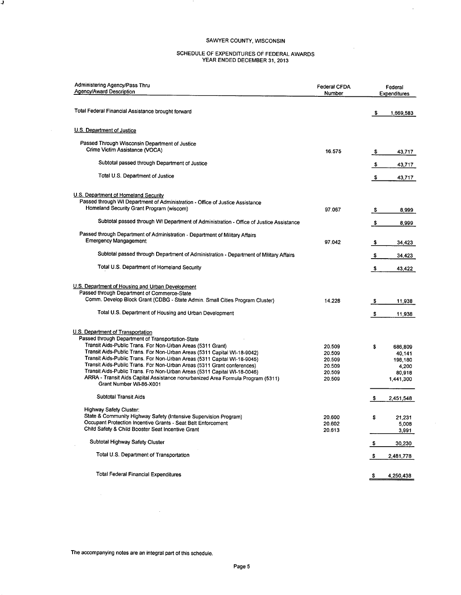$\hat{\mathcal{A}}$ 

 $\mathcal{L}_{\mathcal{A}}$ 

#### SCHEDULE OF EXPENDITURES OF FEDERAL AWARD: YEAR ENDED DECEMBER 31,2013

| Administering Agency/Pass Thru<br>Agency/Award Description                                                                  | <b>Federal CFDA</b><br>Number | Federal<br>Expenditures |                   |  |  |
|-----------------------------------------------------------------------------------------------------------------------------|-------------------------------|-------------------------|-------------------|--|--|
| Total Federal Financial Assistance brought forward                                                                          |                               | -\$                     | 1,669.583         |  |  |
| U.S. Department of Justice                                                                                                  |                               |                         |                   |  |  |
| Passed Through Wisconsin Department of Justice                                                                              |                               |                         |                   |  |  |
| Crime Victim Assistance (VOCA)                                                                                              | 16.575                        | $\sqrt{3}$              | 43,717            |  |  |
| Subtotal passed through Department of Justice                                                                               |                               | \$                      | 43,717            |  |  |
| Total U.S. Department of Justice                                                                                            |                               | \$                      | 43,717            |  |  |
| U.S. Department of Homeland Security                                                                                        |                               |                         |                   |  |  |
| Passed through WI Department of Administration - Office of Justice Assistance<br>Homeland Security Grant Program (wiscom)   |                               |                         |                   |  |  |
|                                                                                                                             | 97.067                        | <u>_\$</u>              | 8,999             |  |  |
| Subtotal passed through WI Department of Administration - Office of Justice Assistance                                      |                               | \$                      | 8,999             |  |  |
| Passed through Department of Administration - Department of Military Affairs                                                |                               |                         |                   |  |  |
| <b>Emergency Mangagement</b>                                                                                                | 97.042                        | - \$                    | 34 423            |  |  |
| Subtotal passed through Department of Administration - Department of Military Affairs                                       |                               | \$                      | 34.423            |  |  |
| Total U.S. Department of Homeland Security                                                                                  |                               | -\$                     | 43,422            |  |  |
| U.S. Department of Housing and Urban Development                                                                            |                               |                         |                   |  |  |
| Passed through Department of Commerce-State<br>Comm. Develop Block Grant (CDBG - State Admin. Small Cities Program Cluster) |                               |                         |                   |  |  |
|                                                                                                                             | 14.228                        | $\mathbf{s}$            | 11,938            |  |  |
| Total U.S. Department of Housing and Urban Development                                                                      |                               | $\sqrt{2}$              | 11,938            |  |  |
| U.S. Department of Transportation                                                                                           |                               |                         |                   |  |  |
| Passed through Department of Transportation-State<br>Transit Aids-Public Trans. For Non-Urban Areas (5311 Grant)            |                               |                         |                   |  |  |
| Transit Aids-Public Trans. For Non-Urban Areas (5311 Capital WI-18-9042)                                                    | 20.509<br>20.509              | \$                      | 686,809<br>40,141 |  |  |
| Transit Aids-Public Trans. For Non-Urban Areas (5311 Capital WI-18-9045)                                                    | 20.509                        |                         | 198,180           |  |  |
| Transit Aids-Public Trans. For Non-Urban Areas (5311 Grant conferences)                                                     | 20.509                        |                         | 4,200             |  |  |
| Transit Aids-Public Trans. Fro Non-Urban Areas (5311 Capital WI-18-0046)                                                    | 20.509                        |                         | 80.918            |  |  |
| ARRA - Transit Aids Capital Assistance nonurbanized Area Formula Program (5311)<br>Grant Number WI-86-X001                  | 20.509                        |                         | 1,441,300         |  |  |
| Subtotal Transit Aids                                                                                                       |                               | \$                      | 2,451,548         |  |  |
| <b>Highway Safety Cluster:</b>                                                                                              |                               |                         |                   |  |  |
| State & Community Highway Safety (Intensive Supervision Program)                                                            | 20.600                        | \$                      | 21,231            |  |  |
| Occupant Protection Incentive Grants - Seat Belt Enforcement                                                                | 20.602                        |                         | 5,008             |  |  |
| Child Safety & Child Booster Seat Incentive Grant                                                                           | 20.613                        |                         | 3,991             |  |  |
| Subtotal Highway Safety Cluster                                                                                             |                               | \$                      | 30,230            |  |  |
| Total U.S. Department of Transportation                                                                                     |                               | \$                      | 2,481,778         |  |  |
| <b>Total Federal Financial Expenditures</b>                                                                                 |                               | $\cdot$                 | 4,250,438         |  |  |

The accompanying notes are an integral part of this schedule.

 $\sim 10^{-10}$ 

J.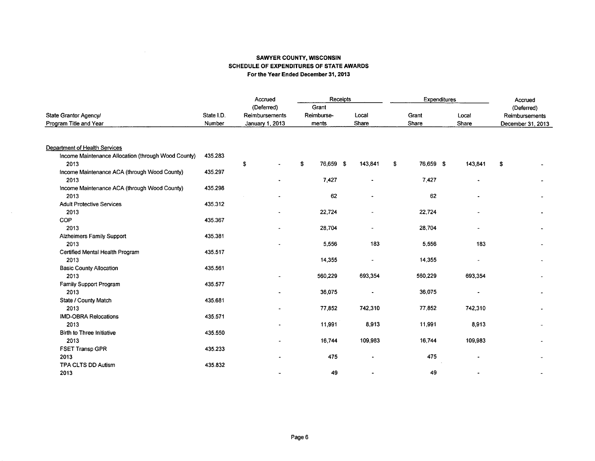$\sim 10$ 

 $\sim 10^{-1}$ 

|                                                     |            | Accrued         |                       |    | Receipts   |         |    | Expenditures |                      | Accrued           |
|-----------------------------------------------------|------------|-----------------|-----------------------|----|------------|---------|----|--------------|----------------------|-------------------|
|                                                     |            | (Deferred)      |                       |    | Grant      |         |    |              |                      | (Deferred)        |
| State Grantor Agency/                               | State I.D. | Reimbursements  |                       |    | Reimburse- | Local   |    | Grant        | Local                | Reimbursements    |
| Program Title and Year                              | Number     | January 1, 2013 |                       |    | ments      | Share   |    | Share        | Share                | December 31, 2013 |
|                                                     |            |                 |                       |    |            |         |    |              |                      |                   |
| Department of Health Services                       |            |                 |                       |    |            |         |    |              |                      |                   |
| Income Maintenance Allocation (through Wood County) | 435.283    |                 |                       |    |            |         |    |              |                      |                   |
| 2013                                                |            | \$              |                       | s. | 76,659 \$  | 143,841 | s. | 76,659 \$    | 143,841              | \$                |
| Income Maintenance ACA (through Wood County)        | 435.297    |                 |                       |    |            |         |    |              |                      |                   |
| 2013                                                |            |                 |                       |    | 7,427      |         |    | 7,427        | $\blacksquare$       |                   |
| Income Maintenance ACA (through Wood County)        | 435.298    |                 |                       |    |            |         |    |              |                      |                   |
| 2013                                                |            |                 |                       |    | 62         |         |    | 62           | $\ddot{\phantom{1}}$ |                   |
| <b>Adult Protective Services</b>                    | 435.312    |                 |                       |    |            |         |    |              |                      |                   |
| 2013                                                |            |                 |                       |    | 22,724     |         |    | 22,724       |                      |                   |
| COP                                                 | 435.367    |                 |                       |    |            |         |    |              |                      |                   |
| 2013                                                |            |                 |                       |    | 28,704     |         |    | 28,704       |                      |                   |
| <b>Alzheimers Family Support</b>                    | 435.381    |                 |                       |    |            |         |    |              |                      |                   |
| 2013                                                |            |                 |                       |    | 5,556      | 183     |    | 5,556        | 183                  |                   |
| Certified Mental Health Program                     | 435.517    |                 |                       |    |            |         |    |              |                      |                   |
| 2013                                                |            |                 |                       |    | 14,355     |         |    | 14,355       |                      |                   |
| <b>Basic County Allocation</b>                      | 435.561    |                 |                       |    |            |         |    |              |                      |                   |
| 2013                                                |            |                 |                       |    | 560,229    | 693,354 |    | 560,229      | 693,354              |                   |
| Family Support Program                              | 435.577    |                 |                       |    |            |         |    |              |                      |                   |
| 2013                                                |            |                 |                       |    | 36,075     |         |    | 36,075       | $\blacksquare$       |                   |
| State / County Match                                | 435.681    |                 |                       |    |            |         |    |              |                      |                   |
| 2013                                                |            |                 | $\blacksquare$        |    | 77,852     | 742,310 |    | 77,852       | 742,310              |                   |
| <b>IMD-OBRA Relocations</b>                         | 435.571    |                 |                       |    |            |         |    |              |                      |                   |
| 2013                                                |            |                 |                       |    | 11,991     | 8,913   |    | 11,991       | 8,913                |                   |
| <b>Birth to Three Initiative</b>                    | 435.550    |                 |                       |    |            |         |    |              |                      |                   |
| 2013                                                |            |                 | $\tilde{\phantom{a}}$ |    | 16,744     | 109,983 |    | 16,744       | 109,983              |                   |
| FSET Transp GPR                                     | 435.233    |                 |                       |    |            |         |    |              |                      |                   |
| 2013                                                |            |                 |                       |    | 475        |         |    | 475          |                      |                   |
| TPA CLTS DD Autism                                  | 435.832    |                 |                       |    |            |         |    |              |                      |                   |
|                                                     |            |                 |                       |    | 49         |         |    | 49           |                      |                   |
| 2013                                                |            |                 | $\mathbf{r}$          |    |            |         |    |              |                      |                   |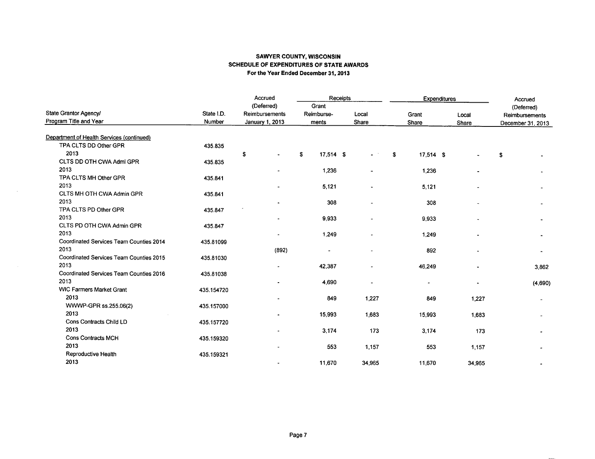|                                           |            | Accrued                        | Receipts            |                    | <b>Expenditures</b>      | Accrued        |                              |  |
|-------------------------------------------|------------|--------------------------------|---------------------|--------------------|--------------------------|----------------|------------------------------|--|
| State Grantor Agency/                     | State I.D. | (Deferred)<br>Reimbursements   | Grant<br>Reimburse- | Local              | Grant                    | Local          | (Deferred)<br>Reimbursements |  |
| Program Title and Year                    | Number     | January 1, 2013                | ments               | Share              | Share                    | Share          | December 31, 2013            |  |
| Department of Health Services (continued) |            |                                |                     |                    |                          |                |                              |  |
| TPA CLTS DD Other GPR                     | 435.835    |                                |                     |                    |                          |                |                              |  |
| 2013                                      |            | \$<br>$\overline{\phantom{a}}$ | \$.<br>$17,514$ \$  | $\Delta \sim 10^6$ | 17,514 \$<br>\$          |                | \$                           |  |
| CLTS DD OTH CWA Admi GPR                  | 435.835    |                                |                     |                    |                          |                |                              |  |
| 2013                                      |            |                                | 1,236               |                    | 1,236                    |                |                              |  |
| TPA CLTS MH Other GPR                     | 435.841    |                                |                     |                    |                          |                |                              |  |
| 2013                                      |            |                                | 5,121               |                    | 5,121                    |                |                              |  |
| CLTS MH OTH CWA Admin GPR                 | 435.841    |                                |                     |                    |                          |                |                              |  |
| 2013                                      |            |                                | 308                 |                    | 308                      |                |                              |  |
| TPA CLTS PD Other GPR                     | 435.847    |                                |                     |                    |                          |                |                              |  |
| 2013                                      |            |                                | 9,933               |                    | 9,933                    |                |                              |  |
| CLTS PD OTH CWA Admin GPR                 | 435.847    |                                |                     |                    |                          |                |                              |  |
| 2013                                      |            |                                | 1,249               |                    | 1,249                    | $\blacksquare$ |                              |  |
| Coordinated Services Team Counties 2014   | 435.81099  |                                |                     |                    |                          |                |                              |  |
| 2013                                      |            | (892)                          |                     |                    | 892                      |                |                              |  |
| Coordinated Services Team Counties 2015   | 435.81030  |                                |                     |                    |                          |                |                              |  |
| 2013                                      |            | $\blacksquare$                 | 42,387              |                    | 46,249                   |                | 3.862                        |  |
| Coordinated Services Team Counties 2016   | 435.81038  |                                |                     |                    |                          |                |                              |  |
| 2013                                      |            |                                | 4,690               |                    | $\overline{\phantom{a}}$ | $\blacksquare$ | (4,690)                      |  |
| <b>WIC Farmers Market Grant</b>           | 435.154720 |                                |                     |                    |                          |                |                              |  |
| 2013                                      |            |                                | 849                 | 1,227              | 849                      | 1,227          |                              |  |
| WWWP-GPR ss.255.06(2)                     | 435.157000 |                                |                     |                    |                          |                |                              |  |
| 2013                                      |            |                                | 15,993              | 1,683              | 15,993                   | 1,683          |                              |  |
| Cons Contracts Child LD                   | 435.157720 |                                |                     |                    |                          |                |                              |  |
| 2013                                      |            |                                | 3,174               | 173                | 3,174                    | 173            |                              |  |
| Cons Contracts MCH                        | 435.159320 |                                |                     |                    |                          |                |                              |  |
| 2013                                      |            |                                | 553                 | 1,157              | 553                      | 1.157          |                              |  |
| <b>Reproductive Health</b>                | 435.159321 |                                |                     |                    |                          |                |                              |  |
| 2013                                      |            |                                | 11,670              | 34,965             | 11,670                   | 34.965         |                              |  |

 $\sim 100$ 

 $\sim 10^7$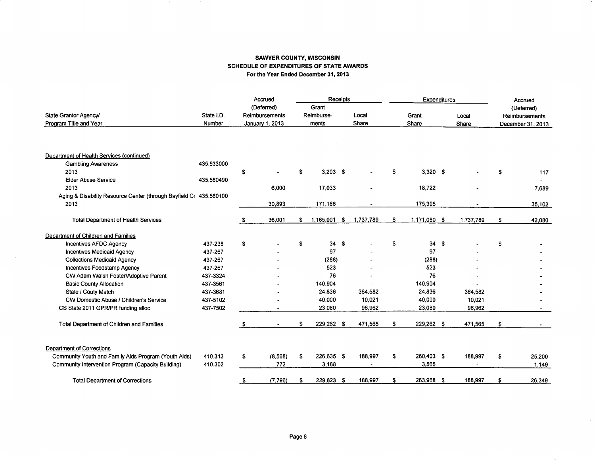$\sim 10^{-1}$ 

 $\bar{\alpha}$ 

|                                                                    |            |    | Accrued         |    | Receipts   |     |           |    | Expenditures |           |    | Accrued           |
|--------------------------------------------------------------------|------------|----|-----------------|----|------------|-----|-----------|----|--------------|-----------|----|-------------------|
|                                                                    |            |    | (Deferred)      |    | Grant      |     |           |    |              |           |    | (Deferred)        |
| State Grantor Agency/                                              | State I.D. |    | Reimbursements  |    | Reimburse- |     | Local     |    | Grant        | Local     |    | Reimbursements    |
| Program Title and Year                                             | Number     |    | January 1, 2013 |    | ments      |     | Share     |    | Share        | Share     |    | December 31, 2013 |
|                                                                    |            |    |                 |    |            |     |           |    |              |           |    |                   |
| Department of Health Services (continued)                          |            |    |                 |    |            |     |           |    |              |           |    |                   |
| <b>Gambling Awareness</b>                                          | 435.533000 |    |                 |    |            |     |           |    |              |           |    |                   |
| 2013                                                               |            | s  |                 | \$ | 3.203S     |     |           | \$ | $3,320$ \$   |           | S. | 117               |
| <b>Elder Abuse Service</b>                                         | 435.560490 |    |                 |    |            |     |           |    |              |           |    |                   |
| 2013                                                               |            |    | 6,000           |    | 17,033     |     |           |    | 18,722       |           |    | 7,689             |
| Aging & Disability Resource Center (through Bayfield Cr 435.560100 |            |    |                 |    |            |     |           |    |              |           |    |                   |
| 2013                                                               |            |    | 30,893          |    | 171,186    |     |           |    | 175,395      |           |    | 35,102            |
| <b>Total Department of Health Services</b>                         |            | S. | 36,001          | S. | 1,165,001  | -\$ | 1,737,789 | s. | 1,171,080 \$ | 1.737,789 | \$ | 42,080            |
|                                                                    |            |    |                 |    |            |     |           |    |              |           |    |                   |
| Department of Children and Families                                |            |    |                 |    |            |     |           |    |              |           |    |                   |
| Incentives AFDC Agency                                             | 437-238    | S  |                 | S  | 34S        |     |           | \$ | 34S          |           | \$ |                   |
| <b>Incentives Medicaid Agency</b>                                  | 437-267    |    |                 |    | 97         |     |           |    | 97           |           |    |                   |
| <b>Collections Medicaid Agency</b>                                 | 437-267    |    |                 |    | (288)      |     |           |    | (288)        |           |    |                   |
| Incentives Foodstamp Agency                                        | 437-267    |    |                 |    | 523        |     |           |    | 523          |           |    |                   |
| CW Adam Walsh Foster/Adoptive Parent                               | 437-3324   |    |                 |    | 76         |     |           |    | 76           |           |    |                   |
| <b>Basic County Allocation</b>                                     | 437-3561   |    |                 |    | 140,904    |     |           |    | 140,904      |           |    |                   |
| State / Couty Match                                                | 437-3681   |    |                 |    | 24,836     |     | 364,582   |    | 24,836       | 364,582   |    |                   |
| CW Domestic Abuse / Children's Service                             | 437-5102   |    |                 |    | 40,000     |     | 10,021    |    | 40,000       | 10,021    |    |                   |
| CS State 2011 GPR/PR funding alloc                                 | 437-7502   |    |                 |    | 23,080     |     | 96,962    |    | 23,080       | 96,962    |    |                   |
| <b>Total Department of Children and Families</b>                   |            |    |                 | S. | 229,262 \$ |     | 471,565   | \$ | 229,262 \$   | 471,565   | S  |                   |
|                                                                    |            |    |                 |    |            |     |           |    |              |           |    |                   |
| Department of Corrections                                          |            |    |                 |    |            |     |           |    |              |           |    |                   |
| Community Youth and Family Aids Program (Youth Aids)               | 410.313    | \$ | (8, 568)        | \$ | 226,635 \$ |     | 188,997   | \$ | 260,403 \$   | 188,997   | \$ | 25,200            |
| Community Intervention Program (Capacity Building)                 | 410.302    |    | 772             |    | 3,188      |     | $\bullet$ |    | 3,565        |           |    | 1,149             |
| <b>Total Department of Corrections</b>                             |            | S. | (7.796)         | \$ | 229.823 \$ |     | 188,997   | \$ | 263,968 \$   | 188.997   | S  | 26,349            |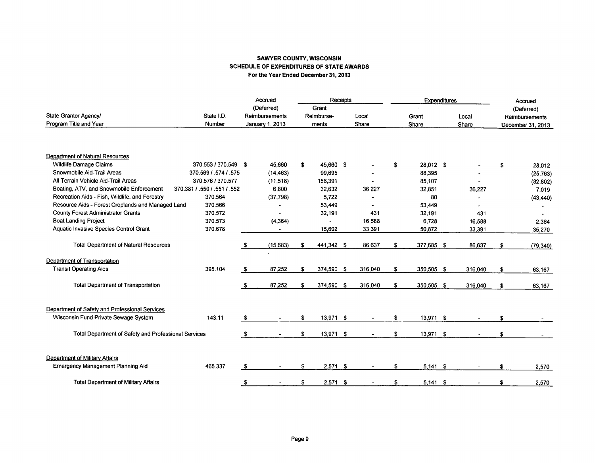|                                                             |                              |      | Accrued                             |    | Receipts            |         |    | Expenditures   |     |                |    | Accrued               |
|-------------------------------------------------------------|------------------------------|------|-------------------------------------|----|---------------------|---------|----|----------------|-----|----------------|----|-----------------------|
| State Grantor Agency/                                       | State I.D.                   |      | (Deferred)<br><b>Reimbursements</b> |    | Grant<br>Reimburse- | Local   |    |                |     |                |    | (Deferred)            |
| Program Title and Year                                      | Number                       |      | January 1, 2013                     |    |                     | Share   |    | Grant<br>Share |     | Local<br>Share |    | <b>Reimbursements</b> |
|                                                             |                              |      |                                     |    | ments               |         |    |                |     |                |    | December 31, 2013     |
| Department of Natural Resources                             |                              |      |                                     |    |                     |         |    |                |     |                |    |                       |
| <b>Wildlife Damage Claims</b>                               | 370.553/370.549 \$           |      | 45,660                              | S  | 45.660 \$           |         | \$ | 28.012 \$      |     |                | S  | 28.012                |
| Snowmobile Aid-Trail Areas                                  | 370.569 / .574 / .575        |      | (14, 463)                           |    | 99.695              |         |    | 88.395         |     |                |    | (25, 763)             |
| All Terrain Vehicle Aid-Trail Areas                         | 370.576 / 370.577            |      | (11,518)                            |    | 156,391             |         |    | 85,107         |     |                |    | (82, 802)             |
| Boating, ATV, and Snowmobile Enforcement                    | 370.381 / .550 / .551 / .552 |      | 6,800                               |    | 32,632              | 36,227  |    | 32,851         |     | 36,227         |    | 7,019                 |
| Recreation Aids - Fish, Wildlife, and Forestry              | 370.564                      |      | (37,798)                            |    | 5,722               |         |    | 80             |     |                |    | (43, 440)             |
| Resource Aids - Forest Croplands and Managed Land           | 370.566                      |      |                                     |    | 53,449              | $\sim$  |    | 53,449         |     |                |    |                       |
| <b>County Forest Administrator Grants</b>                   | 370.572                      |      |                                     |    | 32,191              | 431     |    | 32,191         |     | 431            |    |                       |
| <b>Boat Landing Project</b>                                 | 370.573                      |      | (4, 364)                            |    | ÷.                  | 16,588  |    | 6,728          |     | 16,588         |    | 2,364                 |
| Aquatic Invasive Species Control Grant                      | 370.678                      |      |                                     |    | 15,602              | 33,391  |    | 50,872         |     | 33,391         |    | 35,270                |
| <b>Total Department of Natural Resources</b>                |                              | S    | (15,683)                            | £. | 441,342 \$          | 86,637  | £. | 377,685 \$     |     | 86,637         | £. | (79, 340)             |
| Department of Transportation                                |                              |      |                                     |    |                     |         |    |                |     |                |    |                       |
| <b>Transit Operating Aids</b>                               | 395.104                      | - \$ | 87.252                              | S. | 374,590 \$          | 316.040 | s. | 350,505 \$     |     | 316,040        | S  | 63,167                |
| <b>Total Department of Transportation</b>                   |                              | S.   | 87,252                              | £  | 374,590 \$          | 316,040 | s. | 350,505 \$     |     | 316,040        | S  | 63,167                |
| Department of Safety and Professional Services              |                              |      |                                     |    |                     |         |    |                |     |                |    |                       |
| Wisconsin Fund Private Sewage System                        | 143.11                       | S.   |                                     | £. | 13,971 \$           |         | \$ | 13,971 \$      |     |                | S. |                       |
| <b>Total Department of Safety and Professional Services</b> |                              | \$   |                                     | \$ | 13,971 \$           |         | \$ | 13,971 \$      |     |                | s. |                       |
| Department of Military Affairs                              |                              |      |                                     |    |                     |         |    |                |     |                |    |                       |
| <b>Emergency Management Planning Aid</b>                    | 465.337                      | -S   |                                     | \$ | $2,571$ \$          |         | \$ | $5,141$ \$     |     |                | S  | 2.570                 |
| <b>Total Department of Military Affairs</b>                 |                              | \$   |                                     | S. | $2,571$ \$          |         | S  | 5,141          | - S |                | S  | 2,570                 |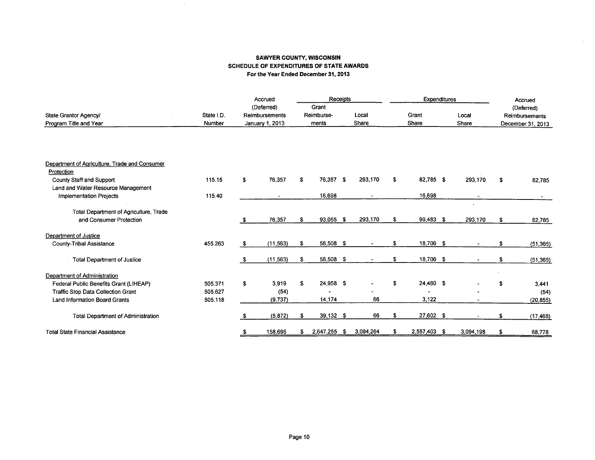$\sim$ 

 $\sim$ 

|                                                                                                                                                             |                               |    | Accrued                  |    | <b>Receipts</b>     |      |           |    | <b>Expenditures</b> |           |    | Accrued                    |
|-------------------------------------------------------------------------------------------------------------------------------------------------------------|-------------------------------|----|--------------------------|----|---------------------|------|-----------|----|---------------------|-----------|----|----------------------------|
|                                                                                                                                                             |                               |    | (Deferred)               |    | Grant               |      |           |    |                     |           |    | (Deferred)                 |
| State Grantor Agency/                                                                                                                                       | State I.D.                    |    | Reimbursements           |    | Reimburse-          |      | Local     |    | Grant               | Local     |    | Reimbursements             |
| Program Title and Year                                                                                                                                      | Number                        |    | January 1, 2013          |    | ments               |      | Share     |    | Share               | Share     |    | December 31, 2013          |
| Department of Agriculture, Trade and Consumer<br>Protection                                                                                                 |                               |    |                          |    |                     |      |           |    |                     |           |    |                            |
| County Staff and Support<br>Land and Water Resource Management                                                                                              | 115.15                        | \$ | 76,357                   | \$ | 76,357 \$           |      | 293,170   | S  | 82,785 \$           | 293,170   | £. | 82,785                     |
| <b>Implementation Projects</b>                                                                                                                              | 115.40                        |    |                          |    | 16,698              |      |           |    | 16,698              |           |    |                            |
| <b>Total Department of Agriculture, Trade</b><br>and Consumer Protection                                                                                    |                               | S. | 76.357                   | \$ | 93,055 \$           |      | 293,170   | \$ | 99,483 \$           | 293,170   | \$ | 82,785                     |
| Department of Justice<br><b>County-Tribal Assistance</b>                                                                                                    | 455.263                       | \$ | (11.563)                 | £. | 58,508 \$           |      |           | \$ | 18,706 \$           |           | \$ | (51, 365)                  |
| <b>Total Department of Justice</b>                                                                                                                          |                               | £. | (11.563)                 | s. | 58,508 \$           |      |           | £. | 18,706 \$           |           | \$ | (51, 365)                  |
| Department of Administration<br>Federal Public Benefits Grant (LIHEAP)<br><b>Traffic Stop Data Collection Grant</b><br><b>Land Information Board Grants</b> | 505.371<br>505.627<br>505.118 | S  | 3,919<br>(54)<br>(9,737) | S. | 24,958 \$<br>14,174 |      | 66        | S  | 24,480 \$<br>3,122  |           | \$ | 3,441<br>(54)<br>(20, 855) |
| <b>Total Department of Administration</b>                                                                                                                   |                               | 5. | (5, 872)                 | S  | 39,132 \$           |      | 66        | S  | 27,602 \$           |           |    | (17, 468)                  |
| <b>Total State Financial Assistance</b>                                                                                                                     |                               | ≗  | 158,696                  | S  | 2,647,255           | - \$ | 3,094,264 | S  | 2,557,403 \$        | 3,094,198 | S. | 68,778                     |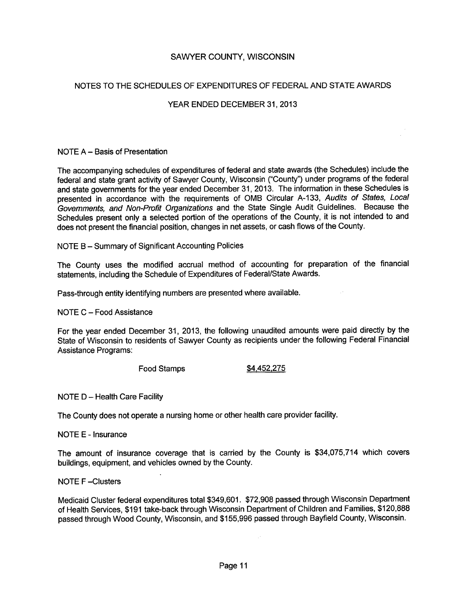#### NOTES TO THE SCHEDULES OF EXPENDITURES OF FEDERAL AND STATE AWARDS

#### YEAR ENDED DECEMBER 31, 2013

#### NOTE A - Basis of Presentation

The accompanying schedules of expenditures of federal and state awards (the Schedules) include the federal and state grant activity of Sawyer County, Wisconsin ("County") under programs of the federal and state governments for the year ended December 31,2013. The information in these Schedules is presented in accordance with the requirements of OMB Circular A-133, *Audits of States, Local Governments, and Non-Profit Organizations* and the State Single Audit Guidelines. Because the Schedules present only a selected portion of the operations of the County, it is not intended to and does not present the financial position, changes in net assets, or cash flows of the County.

NOTE B – Summary of Significant Accounting Policies

The County uses the modified accrual method of accounting for preparation of the financial statements, including the Schedule of Expenditures of Federal/State Awards.

Pass-through entity identifying numbers are presented where available.

#### NOTE C - Food Assistance

For the year ended December 31, 2013, the following unaudited amounts were paid directly by the State of Wisconsin to residents of Sawyer County as recipients under the following Federal Financial Assistance Programs:

Food Stamps

#### \$4.452,275

NOTE D - Health Care Facility

The County does not operate a nursing home or other health care provider facility.

NOTE E - Insurance

The amount of insurance coverage that is carried by the County is \$34,075,714 which covers buildings, equipment, and vehicles owned by the County.

#### NOTE F-Clusters

Medicaid Cluster federal expenditures total \$349,601. \$72,908 passed through Wisconsin Department of Health Services, \$191 take-back through Wisconsin Department of Children and Families, \$120,888 passed through Wood County, Wisconsin, and \$155,996 passed through Bayfield County, Wisconsin.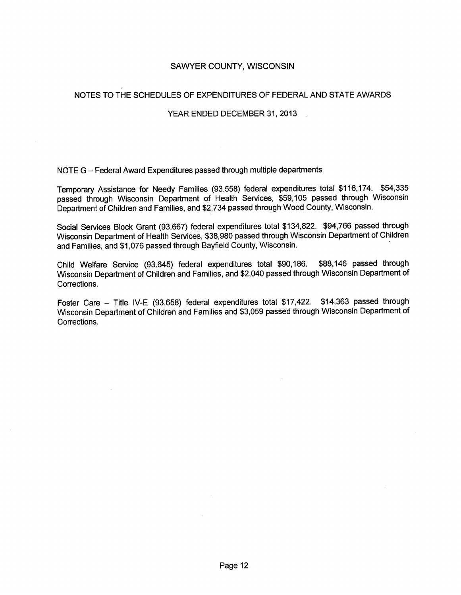#### NOTES TO THE SCHEDULES OF EXPENDITURES OF FEDERAL AND STATE AWARDS

#### YEAR ENDED DECEMBER 31, 2013

#### NOTE G - Federal Award Expenditures passed through multiple departments

Temporary Assistance for Needy Families (93.558) federal expenditures total \$116,174. \$54,335 passed through Wisconsin Department of Health Services, \$59,105 passed through Wisconsin Department of Children and Families, and \$2,734 passed through Wood County, Wisconsin.

Social Services Block Grant (93.667) federal expenditures total \$134,822. \$94,766 passed through Wisconsin Department of Health Services, \$38,980 passed through Wisconsin Department of Children and Families, and \$1,076 passed through Bayfield County, Wisconsin. .

Child Welfare Service (93.645) federal expenditures total \$90,186. \$88,146 passed through Wisconsin Department of Children and Families, and \$2,040 passed through Wisconsin Department of Corrections.

Foster Care - Title IV-E (93.658) federal expenditures total \$17,422. \$14,363 passed through Wisconsin Department of Children and Families and \$3,059 passed through Wisconsin Department of Corrections.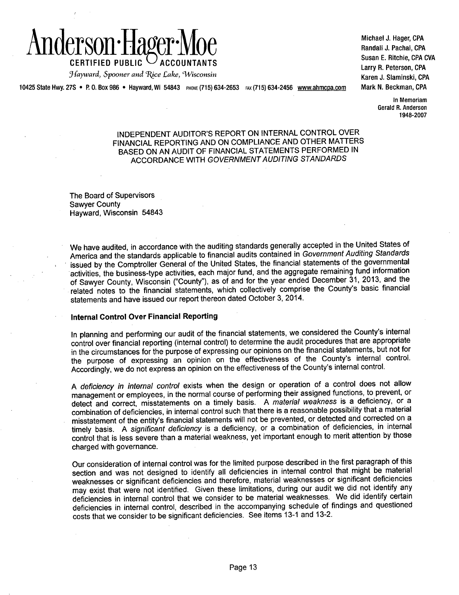

10425 State Hwy. 27S • P. O. Box 986 • Hayward, WI 54843 PHONE (715) 634-2653 FAX (715) 634-2456 [www.ahmcpa.com](http://www.ahmcpa.com)

Michael J. Hager, CPA Randall J. Pachal, CPA Susan E. Ritchie, CPA CVA Larry R. Peterson, CPA Karen J. Siaminski, CPA Mark N. Beckman, CPA

> In Memoriam Gerald R.Anderson 1948-2007

#### INDEPENDENT AUDITOR'S REPORT ON INTERNAL CONTROL OVER FINANCIAL REPORTING AND ON COMPLIANCE AND OTHER MATTERS BASED ON AN AUDIT OF FINANCIAL STATEMENTS PERFORMED IN ACCORDANCE WITH *GOVERNMENT AUDITING STANDARDS*

The Board of Supervisors Sawyer County Hayward, Wisconsin 54843

We have audited, in accordance with the auditing standards generally accepted in the United States of America and the standards applicable to financial audits contained in *Government Auditing Standards* issued by the Comptroller General of the United States, the financial statements of the governmental activities, the business-type activities, each major fund, and the aggregate remaining fund information of Sawyer County, Wisconsin ("County"), as of and for the year ended December 31, 2013, and the related notes to the financial statements, which collectively comprise the County's basic financial statements and have issued our report thereon dated October 3,2014.

#### Internal Control Over Financial Reporting

In planning and performing our audit of the financial statements, we considered the County's internal control over financial reporting (internal control) to determine the audit procedures that are appropriate in the circumstances for the purpose of expressing our opinions on the financial statements, but not for the purpose of expressing an opinion on the effectiveness of the County's internal control. Accordingly, we do not express an opinion on the effectiveness of the County's internal control.

A *deficiency in internal control* exists when the design or operation of a control does not allow management or employees, in the normal course of performing their assigned functions, to prevent, or detect and correct, misstatements on a timely basis. A *material weakness* is a deficiency, or a combination of deficiencies, in internal control such that there is a reasonable possibility that a material misstatement of the entity's financial statements will not be prevented, or detected and corrected on a timely basis. A *significant deficiency* is a deficiency, or a combination of deficiencies, in internal control that is less severe than a material weakness, yet important enough to merit attention by those charged with governance.

Our consideration of internal control was for the limited purpose described in the first paragraph of this section and was not designed to identify all deficiencies in internal control that might be material weaknesses or significant deficiencies and therefore, material weaknesses or significant deficiencies may exist that were not identified. Given these limitations, during our audit we did not identify any deficiencies in internal control that we consider to be material weaknesses. We did identify certain deficiencies in internal control, described in the accompanying schedule of findings and questioned costs that we consider to be significant deficiencies. See items 13-1 and 13-2.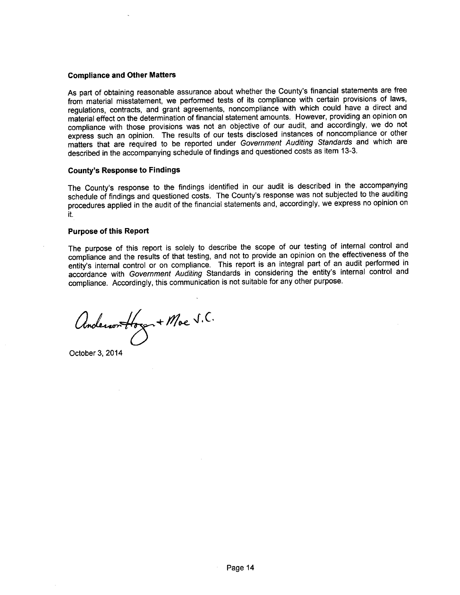#### **Compliance and Other Matters**

As part of obtaining reasonable assurance about whether the County's financial statements are free from material misstatement, we performed tests of its compliance with certain provisions of laws, regulations, contracts, and grant agreements, noncompliance with which could have a direct and material effect on the determination of financial statement amounts. However, providing an opinion on compliance with those provisions was not an objective of our audit, and accordingly, we do not express such an opinion. The results of our tests disclosed instances of noncompliance or other matters that are required to be reported under *Government Auditing Standards* and which are described in the accompanying schedule of findings and questioned costs as item 13-3.

#### **County's Response to Findings**

The County's response to the findings identified in our audit is described in the accompanying schedule of findings and questioned costs. The County's response was not subjected to the auditing procedures applied in the audit of the financial statements and, accordingly, we express no opinion on it.

#### **Purpose of this Report**

The purpose of this report is solely to describe the scope of our testing of internal control and compliance and the results of that testing, and not to provide an opinion on the effectiveness of the entity's internal control or on compliance. This report is an integral part of an audit performed in accordance with *Government Auditing* Standards in considering the entity's internal control and compliance. Accordingly, this communication is not suitable for any other purpose.

Anderson Hogen + Mac S.C.

October 3, 2014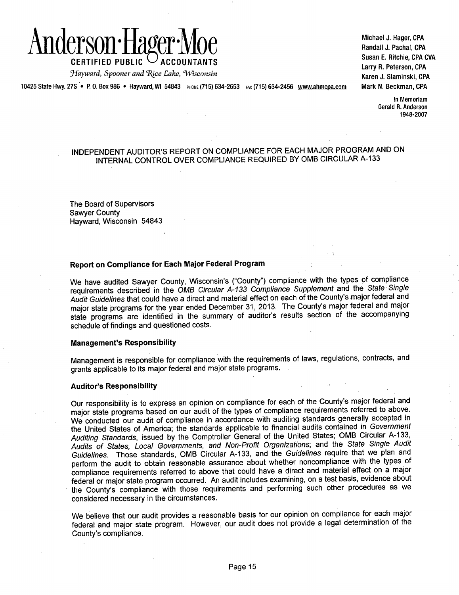# nderson Hager Moe

*Hayward, Spooner and Rice Lake, Wisconsin* 

Michael J. Hager, CPA Randall J. Pachal, CPA Susan E. Ritchie, CPA CVA Larry R. Peterson, CPA Karen J. Siaminski, CPA Mark N. Beckman, CPA

10425 State Hwy. 27S · P. O. Box 986 · Hayward, WI 54843 PHONE (715) 634-2653 FAX (715) 634-2456 [www.ahmcpa.com](http://www.ahmcpa.com)

In Memoriam Gerald R. Anderson 1948-2007

#### INDEPENDENT AUDITOR'S REPORT ON COMPLIANCE FOR EACH MAJOR PROGRAM AND ON INTERNAL CONTROL OVER COMPLIANCE REQUIRED SY OMS CIRCULAR A-133

The Soard of Supervisors Sawyer County Hayward, Wisconsin 54843

#### **Report on Compliance for Each Major Federal Program**

We have audited Sawyer County, Wisconsin's ("County") compliance with the types of compliance requirements described in the *OMB Circular A-133 Compliance Supplement* and the *State. Single Audit Guidelines* that could have a direct and material effect on each of the County's major federal and major state programs for the year ended December 31, 2013. The County's major federal and major state programs are identified in the summary of auditor's results section of the accompanying schedule of findings and questioned costs.

#### **Management's Responsibility**

Management is responsible for compliance with the requirements of laws, regulations, contracts, and grants applicable to its major federal and major state programs.

#### **Auditor's Responsibility**

Our responsibility is to express an opinion on compliance for each of the County's major federal and major state programs based on our audit of the types of compliance requirements referred to above. We conducted our audit of compliance in accordance with auditing standards generally accepted in the United States of America; the standards applicable to financial audits contained in *Government Auditing Standards,* issued by the Comptroller General of the United States; OMS Circular A-133, *Audits of States, Local Governments, and Non-Profit Organizations;* and the *State Single Audit Guidelines.* Those standards, OMS Circular A-133, and the *Guidelines* require that we plan and perform the audit to obtain reasonable assurance about whether noncompliance with the types of compliance requirements referred to above that could have a direct and material effect on a major federal or major state program occurred. An audit includes examining, on a test basis, evidence about the County's compliance with those requirements and performing such other procedures as we considered necessary in the circumstances.

We believe that our audit provides a reasonable basis for our opinion on compliance for each major federal and major state program. However, our audit does not provide a legal determination of the County's compliance.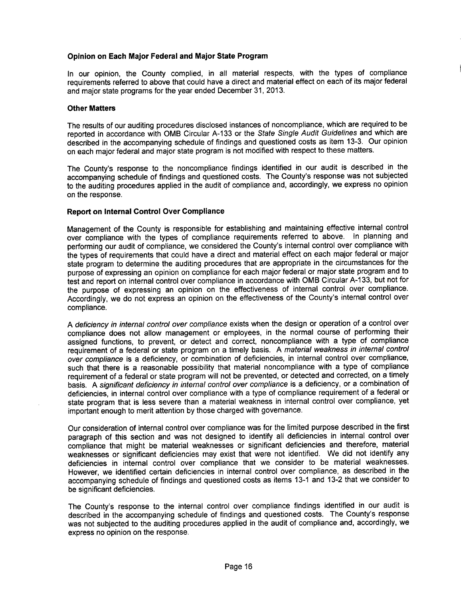#### **Opinion on Each Major Federal and Major State Program**

In our opinion, the County complied, in all material respects, with the types of compliance requirements referred to above that could have a direct and material effect on each of its major federal and major state programs for the year ended December 31, 2013.

#### **Other Matters**

The results of our auditing procedures disclosed instances of noncompliance, which are required to be reported in accordance with OMS Circular A-133 or the *State Single Audit Guidelines* and which are described in the accompanying schedule of findings and questioned costs as item 13-3. Our opinion on each major federal and major state program is not modified with respect to these matters.

The County's response to the noncompliance findings identified in our audit is described in the accompanying schedule of findings and questioned costs. The County's response was not subjected to the auditing procedures applied in the audit of compliance and, accordingly, we express no opinion on the response.

#### **Report on Internal Control Over Compliance**

Management of the County is responsible for establishing and maintaining effective internal control over compliance with the types of compliance requirements referred to above. In planning and performing our audit of compliance, we considered the County's internal control over compliance with the types of requirements that could have a direct and material effect on each major federal or major state program to determine the auditing procedures that are appropriate in the circumstances for the purpose of expressing an opinion on compliance for each major federal or major state program and to test and report on internal control over compliance in accordance with OMS Circular A-133, but not for the purpose of expressing an opinion on the effectiveness of internal control over compliance. Accordingly, we do not express an opinion on the effectiveness of the County's internal control over compliance.

A *deficiency in internal control over compliance* exists when the design or operation of a control over compliance does not allow management or employees, in the normal course of performing their assigned functions, to prevent, or detect and correct, noncompliance with a type of compliance requirement of a federal or state program on a timely basis. A *material weakness in internal control over compliance* is a deficiency, or combination of deficiencies, in internal control over compliance, such that there is a reasonable possibility that material noncompliance with a type of compliance requirement of a federal or state program will not be prevented, or detected and corrected, on a timely basis. A *significant deficiency in internal control over compliance* is a deficiency, or a combination of deficiencies, in internal control over compliance with a type of compliance requirement of a federal or state program that is less severe than a material weakness in internal control over compliance, yet important enough to merit attention by those charged with governance.

Our consideration of internal control over compliance was for the limited purpose described in the first paragraph of this section and was not designed to identify all deficiencies in internal control over compliance that might be material weaknesses or significant deficiencies and therefore, material weaknesses or significant deficiencies may exist that were not identified. We did not identify any deficiencies in internal control over compliance that we consider to be material weaknesses. However, we identified certain deficiencies in internal control over compliance, as described in the accompanying schedule of findings and questioned costs as items 13-1 and 13-2 that we consider to be significant deficiencies.

The County's response to the internal control over compliance findings identified in our audit is described in the accompanying schedule of findings and questioned costs. The County's response was not subjected to the auditing procedures applied in the audit of compliance and, accordingly, we express no opinion on the response.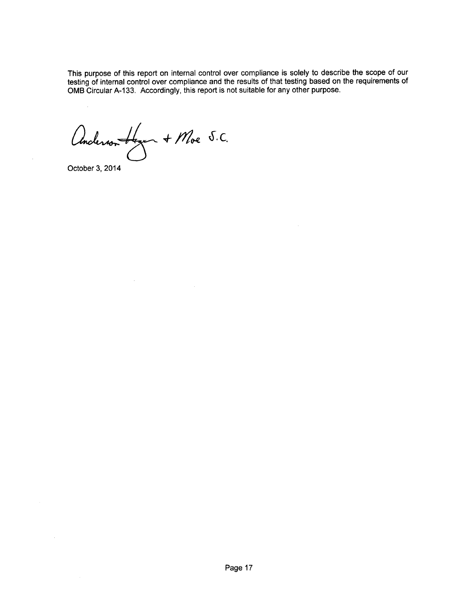This purpose of this report on internal control over compliance is solely to describe the scope of our testing of internal control over compliance and the results of that testing based on the requirements of OMS Circular A-133. Accordingly, this report is not suitable for any other purpose.

This purpose of this report on<br>
esting of internal control over comments Circular A-133. According<br>
Conclusion *.f-Irt"" ,).*C

 $\sim$ 

October 3, 2014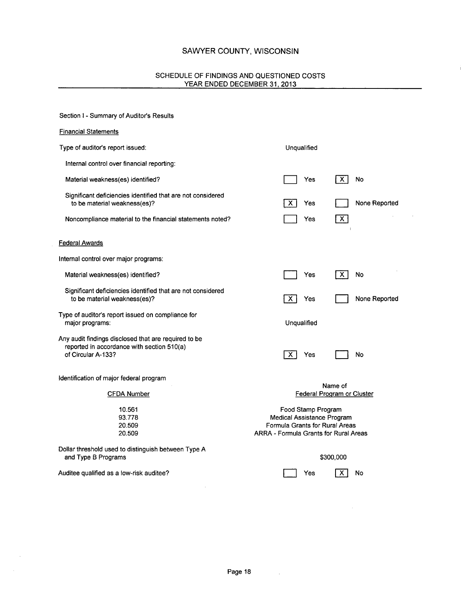#### SCHEDULE OF FINDINGS AND QUESTIONED COSTS YEAR ENDED DECEMBER 31, 2013

 $\mathcal{A}^{\mathcal{A}}$ 

 $\sim$ 

| Section I - Summary of Auditor's Results                                                                                 |                                                                                                                             |  |  |  |  |  |  |  |
|--------------------------------------------------------------------------------------------------------------------------|-----------------------------------------------------------------------------------------------------------------------------|--|--|--|--|--|--|--|
| <b>Financial Statements</b>                                                                                              |                                                                                                                             |  |  |  |  |  |  |  |
| Type of auditor's report issued:                                                                                         | Unqualified                                                                                                                 |  |  |  |  |  |  |  |
| Internal control over financial reporting:                                                                               |                                                                                                                             |  |  |  |  |  |  |  |
| Material weakness(es) identified?                                                                                        | Yes<br>$\times$<br>No                                                                                                       |  |  |  |  |  |  |  |
| Significant deficiencies identified that are not considered<br>to be material weakness(es)?                              | None Reported<br>Yes<br>х                                                                                                   |  |  |  |  |  |  |  |
| Noncompliance material to the financial statements noted?                                                                | $\overline{\mathsf{x}}$<br>Yes                                                                                              |  |  |  |  |  |  |  |
| <b>Federal Awards</b>                                                                                                    |                                                                                                                             |  |  |  |  |  |  |  |
| Internal control over major programs:                                                                                    |                                                                                                                             |  |  |  |  |  |  |  |
| Material weakness(es) identified?                                                                                        | No<br>Yes<br>X.                                                                                                             |  |  |  |  |  |  |  |
| Significant deficiencies identified that are not considered<br>to be material weakness(es)?                              | None Reported<br>Yes<br>х                                                                                                   |  |  |  |  |  |  |  |
| Type of auditor's report issued on compliance for<br>major programs:                                                     | Unqualified                                                                                                                 |  |  |  |  |  |  |  |
| Any audit findings disclosed that are required to be<br>reported in accordance with section 510(a)<br>of Circular A-133? | X.<br>No<br>Yes                                                                                                             |  |  |  |  |  |  |  |
| Identification of major federal program                                                                                  |                                                                                                                             |  |  |  |  |  |  |  |
| <b>CFDA Number</b>                                                                                                       | Name of<br>Federal Program or Cluster                                                                                       |  |  |  |  |  |  |  |
| 10.561<br>93.778<br>20.509<br>20.509                                                                                     | Food Stamp Program<br>Medical Assistance Program<br>Formula Grants for Rural Areas<br>ARRA - Formula Grants for Rural Areas |  |  |  |  |  |  |  |
| Dollar threshold used to distinguish between Type A<br>and Type B Programs                                               | \$300,000                                                                                                                   |  |  |  |  |  |  |  |
| Auditee qualified as a low-risk auditee?                                                                                 | No<br>Yes                                                                                                                   |  |  |  |  |  |  |  |

 $\sim 10^7$ 

 $\bar{.}$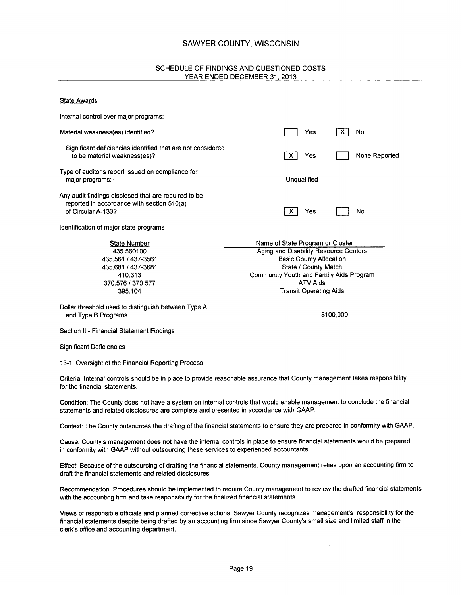#### SCHEDULE OF FINDINGS AND QUESTIONED COSTS YEAR ENDED DECEMBER 31, 2013

| <b>State Awards</b>                                                                                                      |                                                                                                                                                                                                                                    |
|--------------------------------------------------------------------------------------------------------------------------|------------------------------------------------------------------------------------------------------------------------------------------------------------------------------------------------------------------------------------|
| Internal control over major programs:                                                                                    |                                                                                                                                                                                                                                    |
| Material weakness(es) identified?                                                                                        | No<br>Yes                                                                                                                                                                                                                          |
| Significant deficiencies identified that are not considered<br>to be material weakness(es)?                              | None Reported<br>Yes                                                                                                                                                                                                               |
| Type of auditor's report issued on compliance for<br>major programs:                                                     | Unqualified                                                                                                                                                                                                                        |
| Any audit findings disclosed that are required to be<br>reported in accordance with section 510(a)<br>of Circular A-133? | No<br>Yes<br>х                                                                                                                                                                                                                     |
| Identification of major state programs                                                                                   |                                                                                                                                                                                                                                    |
| <b>State Number</b><br>435.560100<br>435.561 / 437-3561<br>435.681 / 437-3681<br>410.313<br>370.576 / 370.577<br>395.104 | Name of State Program or Cluster<br>Aging and Disability Resource Centers<br><b>Basic County Allocation</b><br>State / County Match<br>Community Youth and Family Aids Program<br><b>ATV Aids</b><br><b>Transit Operating Aids</b> |
| Dollar threshold used to distinguish between Type A<br>and Type B Programs                                               | \$100,000                                                                                                                                                                                                                          |

Section II - Financial Statement Findings

Significant Deficiencies

13-1 Oversight of the Financial Reporting Process

Criteria: Internal controls should be in place to provide reasonable assurance that County management takes responsibility for the financial statements.

Condition: The County does not have a system on internal controls that would enable management to conclude the financial statements and related disclosures are complete and presented in accordance with GAAP.

Context: The County outsources the drafting of the financial statements to ensure they are prepared in conformity with GAAP.

Cause: County's management does not have the internal controls in place to ensure financial statements would be prepared in conformity with GAAP without outsourcing these services to experienced accountants.

Effect: Because of the outsourcing of drafting the financial statements, County management relies upon an accounting firm to draft the financial statements and related disclosures.

Recommendation: Procedures should be implemented to require County management to review the drafted financial statements with the accounting firm and take responsibility for the finalized financial statements.

Views of responsible officials and planned corrective actions: Sawyer County recognizes management's responsibility for the financial statements despite being drafted by an accounting firm since Sawyer County's small size and limited staff in the clerk's office and accounting department.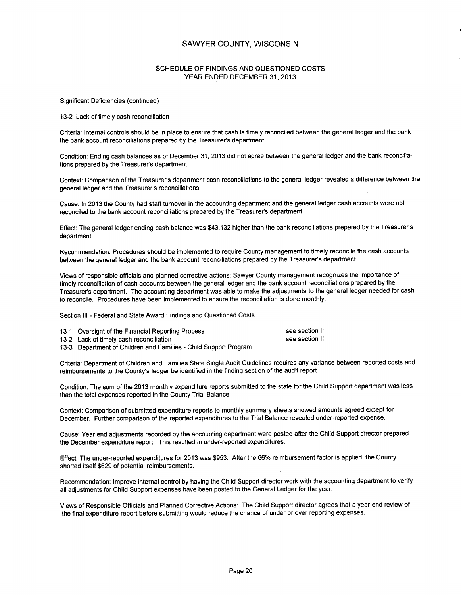#### SCHEDULE OF FINDINGS AND QUESTIONED COSTS YEAR ENDED DECEMBER 31,2013

Significant Deficiencies (continued)

13-2 Lack of timely cash reconciliation

Criteria: Internal controls should be in place to ensure that cash is timely reconciled between the general ledger and the bank the bank account reconciliations prepared by the Treasurer's department.

Condition: Ending cash balances as of December 31, 2013 did not agree between the general ledger and the bank reconciliations prepared by the Treasurer's department.

Context: Comparison of the Treasurer's department cash reconciliations to the general ledger revealed a difference between the general ledger and the Treasurer's reconciliations.

Cause: In 2013 the County had staff turnover in the accounting department and the general ledger cash accounts were not reconciled to the bank account reconciliations prepared by the Treasurer's department.

Effect: The general ledger ending cash balance was \$43,132 higher than the bank reconciliations prepared by the Treasurer's department.

Recommendation: Procedures should be implemented to require County management to timely reconcile the cash accounts between the general ledger and the bank account reconciliations prepared by the Treasurer's department.

Views of responsible officials and planned corrective actions: Sawyer County management recognizes the importance of timely reconciliation of cash accounts between the general ledger and the bank account reconciliations prepared by the Treasurer's department. The accounting department was able to make the adjustments to the general ledger needed for cash to reconcile. Procedures have been implemented to ensure the reconciliation is done monthly.

Section III - Federal and State Award Findings and Questioned Costs

| 13-1 Oversight of the Financial Reporting Process                | see section II |
|------------------------------------------------------------------|----------------|
| 13-2 Lack of timely cash reconciliation                          | see section II |
| 12.3 Donartmont of Children and Eamilies . Child Sunnort Program |                |

13-3 Department of Children and Families - Child Support Program

Criteria: Department of Children and Families State Single Audit Guidelines requires any variance between reported costs and reimbursements to the County's ledger be identified in the finding section of the audit report.

Condition: The sum of the 2013 monthly expenditure reports submitted to the state for the Child Support department was less than the total expenses reported in the County Trial Balance.

Context: Comparison of submitted expenditure reports to monthly summary sheets showed amounts agreed except for December. Further comparison of the reported expenditures to the Trial Balance revealed under-reported expense.

Cause: Year end adjustments recorded by the accounting department were posted after the Child Support director prepared the December expenditure report. This resulted in under-reported expenditures.

Effect: The under-reported expenditures for 2013 was \$953. After the 66% reimbursement factor is applied, the County shorted itself \$629 of potential reimbursements.

Recommendation: Improve internal control by having the Child Support director work with the accounting department to verify all adjustments for Child Support expenses have been posted to the General Ledger for the year.

Views of Responsible Officials and Planned Corrective Actions: The Child Support director agrees that a year-end review of the final expenditure report before submitting would reduce the chance of under or over reporting expenses.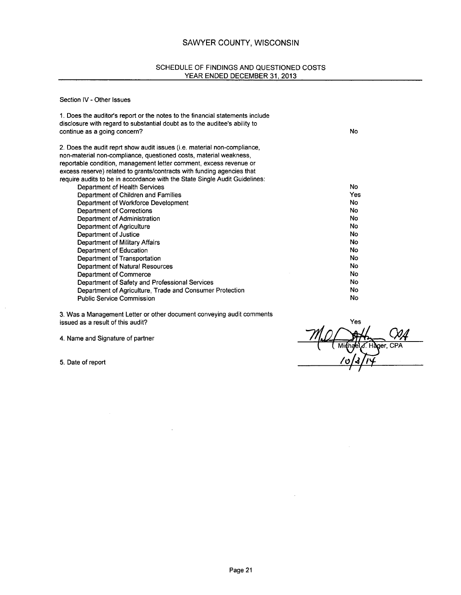#### SCHEDULE OF FINDINGS AND QUESTIONED COSTS YEAR ENDED DECEMBER 31,2013

#### Section IV - Other Issues

| 1. Does the auditor's report or the notes to the financial statements include<br>disclosure with regard to substantial doubt as to the auditee's ability to<br>continue as a going concern?                                                                                                                                                                                 | <b>No</b> |
|-----------------------------------------------------------------------------------------------------------------------------------------------------------------------------------------------------------------------------------------------------------------------------------------------------------------------------------------------------------------------------|-----------|
| 2. Does the audit reprt show audit issues (i.e. material non-compliance,<br>non-material non-compliance, questioned costs, material weakness,<br>reportable condition, management letter comment, excess revenue or<br>excess reserve) related to grants/contracts with funding agencies that<br>require audits to be in accordance with the State Single Audit Guidelines: |           |
| Department of Health Services                                                                                                                                                                                                                                                                                                                                               | No        |
| Department of Children and Families                                                                                                                                                                                                                                                                                                                                         | Yes       |
| Department of Workforce Development                                                                                                                                                                                                                                                                                                                                         | No.       |
| Department of Corrections                                                                                                                                                                                                                                                                                                                                                   | No.       |
| Department of Administration                                                                                                                                                                                                                                                                                                                                                | No        |
| Department of Agriculture                                                                                                                                                                                                                                                                                                                                                   | No        |
| Department of Justice                                                                                                                                                                                                                                                                                                                                                       | No        |
| Department of Military Affairs                                                                                                                                                                                                                                                                                                                                              | No        |
| Department of Education                                                                                                                                                                                                                                                                                                                                                     | No        |
| Department of Transportation                                                                                                                                                                                                                                                                                                                                                | No.       |
| Department of Natural Resources                                                                                                                                                                                                                                                                                                                                             | No.       |
| Department of Commerce                                                                                                                                                                                                                                                                                                                                                      | No        |
| Department of Safety and Professional Services                                                                                                                                                                                                                                                                                                                              | No.       |
| Department of Agriculture, Trade and Consumer Protection                                                                                                                                                                                                                                                                                                                    | No.       |
| <b>Public Service Commission</b>                                                                                                                                                                                                                                                                                                                                            | No        |

3. Was a Management Letter or other document conveying audit comments issued as a result of this audit?

4. Name and Signature of partner

5. Date of report

Yes *CJ14* aer, CPA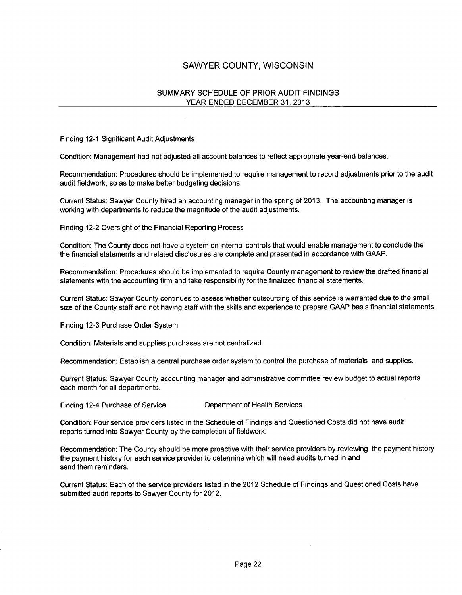#### SUMMARY SCHEDULE OF PRIOR AUDIT FINDINGS YEAR ENDED DECEMBER 31, 2013

Finding 12-1 Significant Audit Adjustments

Condition: Management had not adjusted all account balances to reflect appropriate year-end balances.

Recommendation: Procedures should be implemented to require management to record adjustments prior to the audit audit fieldwork, so as to make better budgeting decisions.

Current Status: Sawyer County hired an accounting manager in the spring of 2013. The accounting manager is working with departments to reduce the magnitude of the audit adjustments.

Finding 12-2 Oversight of the Financial Reporting Process

Condition: The County does not have a system on internal controls that would enable management to conclude the the financial statements and related disclosures are complete and presented in accordance with GAAP.

Recommendation: Procedures should be implemented to require County management to review the drafted financial statements with the accounting firm and take responsibility for the finalized financial statements.

Current Status: Sawyer County continues to assess whether outsourcing of this service is warranted due to the small size of the County staff and not having staff with the skills and experience to prepare GAAP basis financial statements.

Finding 12-3 Purchase Order System

Condition: Materials and supplies purchases are not centralized.

Recommendation: Establish a central purchase order system to control the purchase of materials and supplies.

Current Status: Sawyer County accounting manager and administrative committee review budget to actual reports each month for all departments.

Finding 12-4 Purchase of Service Department of Health Services

Condition: Four service providers listed in the Schedule of Findings and Questioned Costs did not have audit reports turned into Sawyer County by the completion of fieldwork.

Recommendation: The County should be more proactive with their service providers by reviewing the payment history the payment history for each service provider to determine which will need audits turned in and send them reminders.

Current Status: Each of the service providers listed in the 2012 Schedule of Findings and Questioned Costs have submitted audit reports to Sawyer County for 2012.